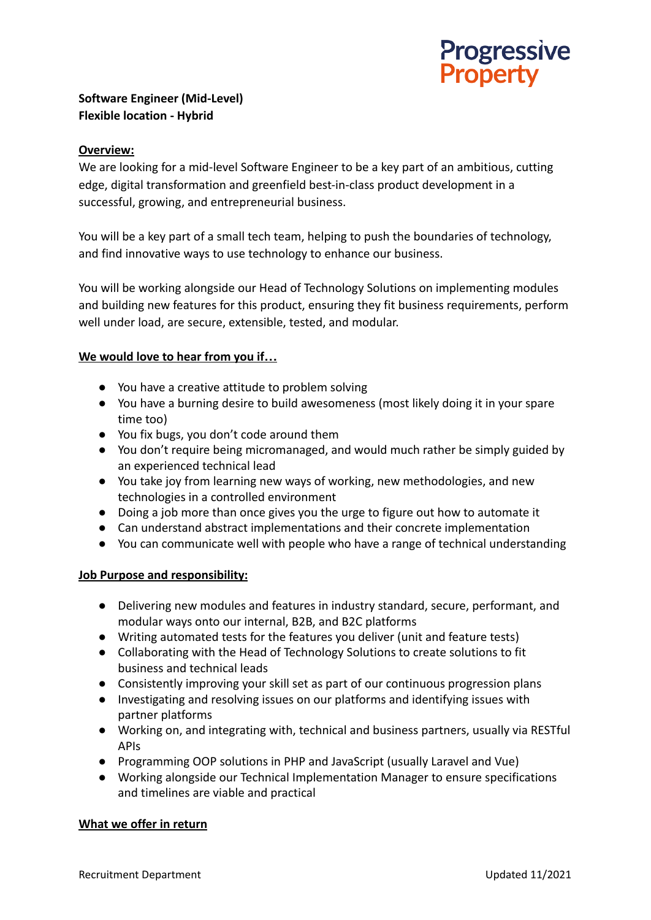

# **Software Engineer (Mid-Level) Flexible location - Hybrid**

### **Overview:**

We are looking for a mid-level Software Engineer to be a key part of an ambitious, cutting edge, digital transformation and greenfield best-in-class product development in a successful, growing, and entrepreneurial business.

You will be a key part of a small tech team, helping to push the boundaries of technology, and find innovative ways to use technology to enhance our business.

You will be working alongside our Head of Technology Solutions on implementing modules and building new features for this product, ensuring they fit business requirements, perform well under load, are secure, extensible, tested, and modular.

#### **We would love to hear from you if…**

- You have a creative attitude to problem solving
- You have a burning desire to build awesomeness (most likely doing it in your spare time too)
- You fix bugs, you don't code around them
- You don't require being micromanaged, and would much rather be simply guided by an experienced technical lead
- You take joy from learning new ways of working, new methodologies, and new technologies in a controlled environment
- Doing a job more than once gives you the urge to figure out how to automate it
- Can understand abstract implementations and their concrete implementation
- You can communicate well with people who have a range of technical understanding

## **Job Purpose and responsibility:**

- Delivering new modules and features in industry standard, secure, performant, and modular ways onto our internal, B2B, and B2C platforms
- Writing automated tests for the features you deliver (unit and feature tests)
- Collaborating with the Head of Technology Solutions to create solutions to fit business and technical leads
- Consistently improving your skill set as part of our continuous progression plans
- Investigating and resolving issues on our platforms and identifying issues with partner platforms
- Working on, and integrating with, technical and business partners, usually via RESTful APIs
- Programming OOP solutions in PHP and JavaScript (usually Laravel and Vue)
- Working alongside our Technical Implementation Manager to ensure specifications and timelines are viable and practical

#### **What we offer in return**